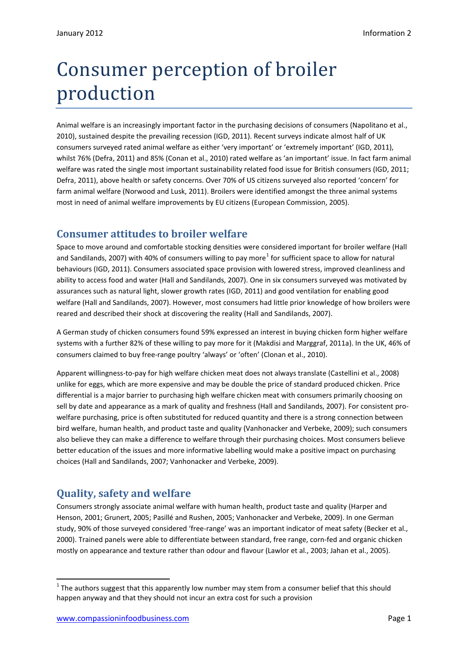## Consumer perception of broiler production

Animal welfare is an increasingly important factor in the purchasing decisions of consumers (Napolitano et al., 2010), sustained despite the prevailing recession (IGD, 2011). Recent surveys indicate almost half of UK consumers surveyed rated animal welfare as either 'very important' or 'extremely important' (IGD, 2011), whilst 76% (Defra, 2011) and 85% (Conan et al., 2010) rated welfare as 'an important' issue. In fact farm animal welfare was rated the single most important sustainability related food issue for British consumers (IGD, 2011; Defra, 2011), above health or safety concerns. Over 70% of US citizens surveyed also reported 'concern' for farm animal welfare (Norwood and Lusk, 2011). Broilers were identified amongst the three animal systems most in need of animal welfare improvements by EU citizens (European Commission, 2005).

## **Consumer attitudes to broiler welfare**

Space to move around and comfortable stocking densities were considered important for broiler welfare (Hall and Sandilands, 2007) with 40% of consumers willing to pay more<sup>[1](#page-0-0)</sup> for sufficient space to allow for natural behaviours (IGD, 2011). Consumers associated space provision with lowered stress, improved cleanliness and ability to access food and water (Hall and Sandilands, 2007). One in six consumers surveyed was motivated by assurances such as natural light, slower growth rates (IGD, 2011) and good ventilation for enabling good welfare (Hall and Sandilands, 2007). However, most consumers had little prior knowledge of how broilers were reared and described their shock at discovering the reality (Hall and Sandilands, 2007).

A German study of chicken consumers found 59% expressed an interest in buying chicken form higher welfare systems with a further 82% of these willing to pay more for it (Makdisi and Marggraf, 2011a). In the UK, 46% of consumers claimed to buy free-range poultry 'always' or 'often' (Clonan et al., 2010).

Apparent willingness-to-pay for high welfare chicken meat does not always translate (Castellini et al., 2008) unlike for eggs, which are more expensive and may be double the price of standard produced chicken. Price differential is a major barrier to purchasing high welfare chicken meat with consumers primarily choosing on sell by date and appearance as a mark of quality and freshness (Hall and Sandilands, 2007). For consistent prowelfare purchasing, price is often substituted for reduced quantity and there is a strong connection between bird welfare, human health, and product taste and quality (Vanhonacker and Verbeke, 2009); such consumers also believe they can make a difference to welfare through their purchasing choices. Most consumers believe better education of the issues and more informative labelling would make a positive impact on purchasing choices (Hall and Sandilands, 2007; Vanhonacker and Verbeke, 2009).

## **Quality, safety and welfare**

Consumers strongly associate animal welfare with human health, product taste and quality (Harper and Henson, 2001; Grunert, 2005; Pasillé and Rushen, 2005; Vanhonacker and Verbeke, 2009). In one German study, 90% of those surveyed considered 'free-range' was an important indicator of meat safety (Becker et al., 2000). Trained panels were able to differentiate between standard, free range, corn-fed and organic chicken mostly on appearance and texture rather than odour and flavour (Lawlor et al., 2003; Jahan et al., 2005).

<span id="page-0-0"></span> $1$  The authors suggest that this apparently low number may stem from a consumer belief that this should happen anyway and that they should not incur an extra cost for such a provision